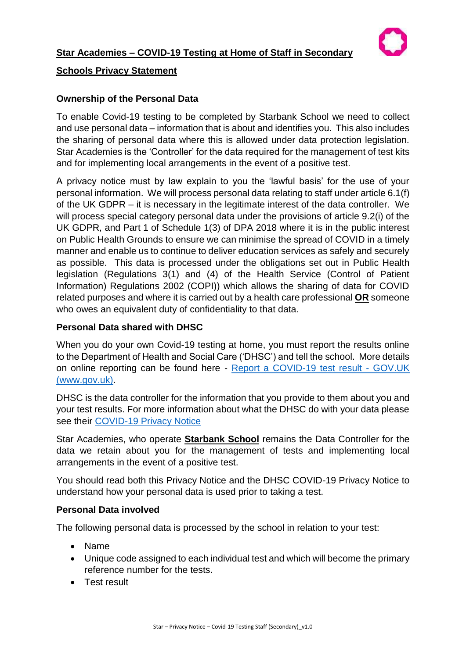

# **Schools Privacy Statement**

# **Ownership of the Personal Data**

To enable Covid-19 testing to be completed by Starbank School we need to collect and use personal data – information that is about and identifies you. This also includes the sharing of personal data where this is allowed under data protection legislation. Star Academies is the 'Controller' for the data required for the management of test kits and for implementing local arrangements in the event of a positive test.

A privacy notice must by law explain to you the 'lawful basis' for the use of your personal information. We will process personal data relating to staff under article 6.1(f) of the UK GDPR – it is necessary in the legitimate interest of the data controller. We will process special category personal data under the provisions of article 9.2(i) of the UK GDPR, and Part 1 of Schedule 1(3) of DPA 2018 where it is in the public interest on Public Health Grounds to ensure we can minimise the spread of COVID in a timely manner and enable us to continue to deliver education services as safely and securely as possible. This data is processed under the obligations set out in Public Health legislation (Regulations 3(1) and (4) of the Health Service (Control of Patient Information) Regulations 2002 (COPI)) which allows the sharing of data for COVID related purposes and where it is carried out by a health care professional **OR** someone who owes an equivalent duty of confidentiality to that data.

# **Personal Data shared with DHSC**

When you do your own Covid-19 testing at home, you must report the results online to the Department of Health and Social Care ('DHSC') and tell the school. More details on online reporting can be found here - [Report a COVID-19 test result -](https://www.gov.uk/report-covid19-result) GOV.UK [\(www.gov.uk\).](https://www.gov.uk/report-covid19-result)

DHSC is the data controller for the information that you provide to them about you and your test results. For more information about what the DHSC do with your data please see their [COVID-19 Privacy Notice](https://www.gov.uk/government/publications/coronavirus-covid-19-testing-privacy-information)

Star Academies, who operate **Starbank School** remains the Data Controller for the data we retain about you for the management of tests and implementing local arrangements in the event of a positive test.

You should read both this Privacy Notice and the DHSC COVID-19 Privacy Notice to understand how your personal data is used prior to taking a test.

### **Personal Data involved**

The following personal data is processed by the school in relation to your test:

- Name
- Unique code assigned to each individual test and which will become the primary reference number for the tests.
- Test result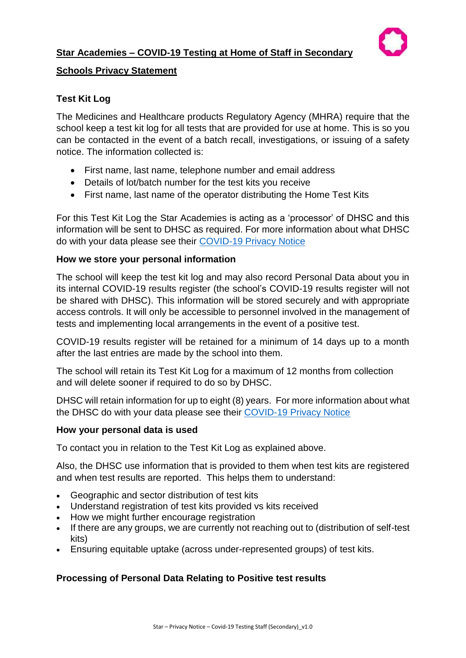

# **Schools Privacy Statement**

# **Test Kit Log**

The Medicines and Healthcare products Regulatory Agency (MHRA) require that the school keep a test kit log for all tests that are provided for use at home. This is so you can be contacted in the event of a batch recall, investigations, or issuing of a safety notice. The information collected is:

- First name, last name, telephone number and email address
- Details of lot/batch number for the test kits you receive
- First name, last name of the operator distributing the Home Test Kits

For this Test Kit Log the Star Academies is acting as a 'processor' of DHSC and this information will be sent to DHSC as required. For more information about what DHSC do with your data please see their [COVID-19 Privacy Notice](https://www.gov.uk/government/publications/coronavirus-covid-19-testing-privacy-information)

### **How we store your personal information**

The school will keep the test kit log and may also record Personal Data about you in its internal COVID-19 results register (the school's COVID-19 results register will not be shared with DHSC). This information will be stored securely and with appropriate access controls. It will only be accessible to personnel involved in the management of tests and implementing local arrangements in the event of a positive test.

COVID-19 results register will be retained for a minimum of 14 days up to a month after the last entries are made by the school into them.

The school will retain its Test Kit Log for a maximum of 12 months from collection and will delete sooner if required to do so by DHSC.

DHSC will retain information for up to eight (8) years. For more information about what the DHSC do with your data please see their [COVID-19 Privacy Notice](https://www.gov.uk/government/publications/coronavirus-covid-19-testing-privacy-information)

### **How your personal data is used**

To contact you in relation to the Test Kit Log as explained above.

Also, the DHSC use information that is provided to them when test kits are registered and when test results are reported. This helps them to understand:

- Geographic and sector distribution of test kits
- Understand registration of test kits provided vs kits received
- How we might further encourage registration
- If there are any groups, we are currently not reaching out to (distribution of self-test kits)
- Ensuring equitable uptake (across under-represented groups) of test kits.

# **Processing of Personal Data Relating to Positive test results**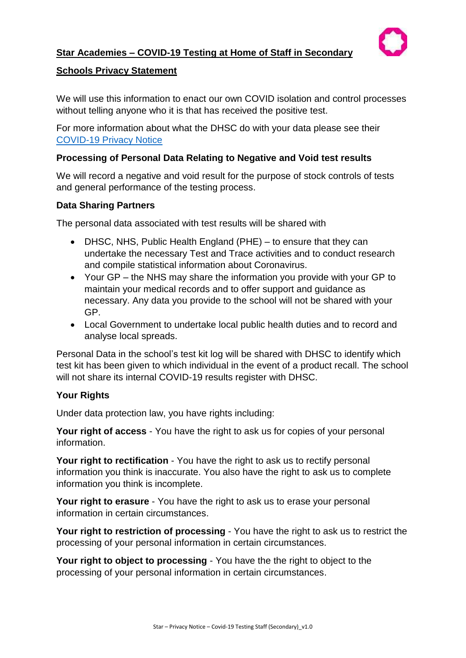

# **Schools Privacy Statement**

We will use this information to enact our own COVID isolation and control processes without telling anyone who it is that has received the positive test.

For more information about what the DHSC do with your data please see their [COVID-19 Privacy Notice](https://www.gov.uk/government/publications/coronavirus-covid-19-testing-privacy-information)

### **Processing of Personal Data Relating to Negative and Void test results**

We will record a negative and void result for the purpose of stock controls of tests and general performance of the testing process.

### **Data Sharing Partners**

The personal data associated with test results will be shared with

- DHSC, NHS, Public Health England (PHE) to ensure that they can undertake the necessary Test and Trace activities and to conduct research and compile statistical information about Coronavirus.
- Your GP the NHS may share the information you provide with your GP to maintain your medical records and to offer support and guidance as necessary. Any data you provide to the school will not be shared with your GP.
- Local Government to undertake local public health duties and to record and analyse local spreads.

Personal Data in the school's test kit log will be shared with DHSC to identify which test kit has been given to which individual in the event of a product recall. The school will not share its internal COVID-19 results register with DHSC.

### **Your Rights**

Under data protection law, you have rights including:

**Your right of access** - You have the right to ask us for copies of your personal information.

**Your right to rectification** - You have the right to ask us to rectify personal information you think is inaccurate. You also have the right to ask us to complete information you think is incomplete.

**Your right to erasure** - You have the right to ask us to erase your personal information in certain circumstances.

**Your right to restriction of processing** - You have the right to ask us to restrict the processing of your personal information in certain circumstances.

**Your right to object to processing** - You have the the right to object to the processing of your personal information in certain circumstances.